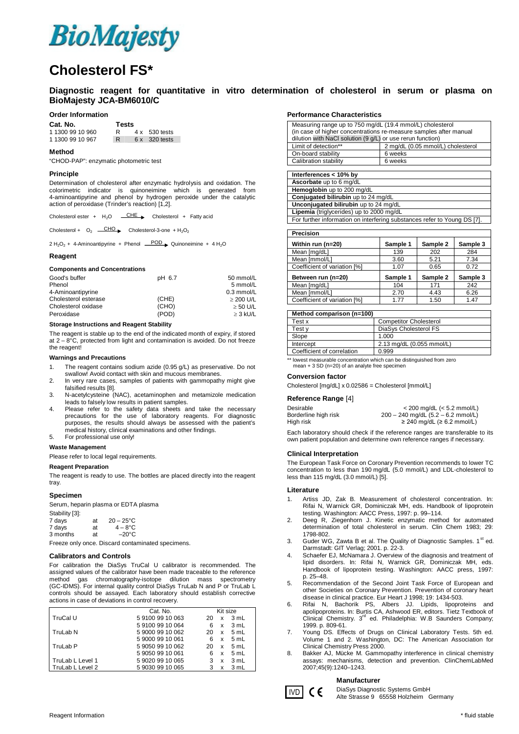

# **Cholesterol FS\***

## **Diagnostic reagent for quantitative in vitro determination of cholesterol in serum or plasma on BioMajesty JCA-BM6010/C**

#### **Order Information**

Cat. N

| Gat. NO.         | i ests |                      |
|------------------|--------|----------------------|
| 1 1300 99 10 960 | R      | $4 \times 530$ tests |
| 1 1300 99 10 967 |        | 6 x 320 tests        |

#### **Method**

"CHOD-PAP": enzymatic photometric test

### **Principle**

Determination of cholesterol after enzymatic hydrolysis and oxidation. The colorimetric indicator is quinoneimine which is generated from 4-aminoantipyrine and phenol by hydrogen peroxide under the catalytic action of peroxidase (Trinder's reaction) [1,2].

tests

Cholesterol ester +  $H_2O$   $\underline{CHE}$  Cholesterol + Fatty acid

Cholesterol +  $O_2$   $\overline{CHO}$  Cholesterol-3-one + H<sub>2</sub>O<sub>2</sub>

 $2 H<sub>2</sub>O<sub>2</sub> + 4$ -Aminoantipyrine + Phenol  $\overline{\phantom{0}}$  Quinoneimine + 4 H<sub>2</sub>O

#### **Reagent**

**Components and Concentrations**

| pH 6.7 | 50 mmol/L      |
|--------|----------------|
|        | 5 mmol/L       |
|        | $0.3$ mmol/L   |
| (CHE)  | $\geq$ 200 U/L |
| (CHO)  | $\geq$ 50 U/L  |
| (POD)  | $\geq$ 3 kU/L  |
|        |                |

#### **Storage Instructions and Reagent Stability**

The reagent is stable up to the end of the indicated month of expiry, if stored at  $2 - 8^{\circ}$ C, protected from light and contamination is avoided. Do not freeze the reagent!

#### **Warnings and Precautions**

- 1. The reagent contains sodium azide (0.95 g/L) as preservative. Do not swallow! Avoid contact with skin and mucous membranes.
- 2. In very rare cases, samples of patients with gammopathy might give
- falsified results [8]. 3. N-acetylcysteine (NAC), acetaminophen and metamizole medication
- leads to falsely low results in patient samples.
- 4. Please refer to the safety data sheets and take the necessary precautions for the use of laboratory reagents. For diagnostic purposes, the results should always be assessed with the patient's medical history, clinical examinations and other findings.
- 5. For professional use only!

#### **Waste Management**

Please refer to local legal requirements.

#### **Reagent Preparation**

The reagent is ready to use. The bottles are placed directly into the reagent tray

#### **Specimen**

Serum, heparin plasma or EDTA plasma

| Stability [3]: |    |                     |
|----------------|----|---------------------|
| 7 days         | at | $20 - 25^{\circ}$ C |
| 7 days         | at | $4 - 8^{\circ}$ C   |
| 3 months       | at | $-20^{\circ}$ C     |

Freeze only once. Discard contaminated specimens.

#### **Calibrators and Controls**

For calibration the DiaSys TruCal U calibrator is recommended. The assigned values of the calibrator have been made traceable to the reference<br>method gas chromatography-isotope dilution mass spectrometry method gas chromatography-isotope dilution mass (GC-IDMS). For internal quality control DiaSys TruLab N and P or TruLab L controls should be assayed. Each laboratory should establish corrective actions in case of deviations in control recovery.

|                  | Cat. No.         |    | Kit size |      |
|------------------|------------------|----|----------|------|
| TruCal U         | 591009910063     | 20 | x        | 3 mL |
|                  | 591009910064     | 6  | x        | 3 mL |
| TruLab N         | 590009910062     | 20 | x        | 5 mL |
|                  | 5 9000 99 10 061 | 6  | x        | 5 mL |
| TruLab P         | 590509910062     | 20 | x        | 5 mL |
|                  | 590509910061     | 6  | x        | 5 mL |
| TruLab L Level 1 | 5 9020 99 10 065 | 3  | x        | 3 mL |
| TruLab L Level 2 | 5 9030 99 10 065 |    | x        | 3 mL |

#### **Performance Characteristics**

| Measuring range up to 750 mg/dL (19.4 mmol/L) cholesterol         |                                   |  |  |
|-------------------------------------------------------------------|-----------------------------------|--|--|
| (in case of higher concentrations re-measure samples after manual |                                   |  |  |
| dilution with NaCl solution (9 g/L) or use rerun function)        |                                   |  |  |
| Limit of detection**                                              | 2 mg/dL (0.05 mmol/L) cholesterol |  |  |
| On-board stability                                                | 6 weeks                           |  |  |
| Calibration stability                                             | 6 weeks                           |  |  |

| Interferences < 10% by                   |
|------------------------------------------|
| Ascorbate up to 6 mg/dL                  |
| Hemoglobin up to 200 mg/dL               |
| Conjugated bilirubin up to 24 mg/dL      |
| Unconjugated bilirubin up to 24 mg/dL    |
| Lipemia (triglycerides) up to 2000 mg/dL |

For further information on interfering substances refer to Young DS [7].

| <b>Precision</b>             |          |          |          |
|------------------------------|----------|----------|----------|
| Within run (n=20)            | Sample 1 | Sample 2 | Sample 3 |
| Mean [mg/dL]                 | 139      | 202      | 284      |
| Mean [mmol/L]                | 3.60     | 5.21     | 7.34     |
| Coefficient of variation [%] | 1.07     | 0.65     | 0.72     |
| Between run (n=20)           | Sample 1 | Sample 2 | Sample 3 |
| Mean [mg/dL]                 | 104      | 171      | 242      |
| Mean [mmol/L]                | 2.70     | 4.43     | 6.26     |
| Coefficient of variation [%] | 1.77     | 1.50     | 1.47     |

| Method comparison (n=100)  |                               |
|----------------------------|-------------------------------|
| Testx                      | <b>Competitor Cholesterol</b> |
| Test v                     | DiaSys Cholesterol FS         |
| Slope                      | 1.000                         |
| Intercept                  | 2.13 mg/dL (0.055 mmol/L)     |
| Coefficient of correlation | 0.999                         |

towest measurable concentration which can be distinguished from zero mean + 3 SD (n=20) of an analyte free specimen

#### **Conversion factor**

Cholesterol [mg/dL] x 0.02586 = Cholesterol [mmol/L]

#### **Reference Range** [4]

| Desirable            | $<$ 200 mg/dL ( $<$ 5.2 mmol/L)        |
|----------------------|----------------------------------------|
| Borderline high risk | $200 - 240$ mg/dL $(5.2 - 6.2$ mmol/L) |
| High risk            | $\geq$ 240 mg/dL ( $\geq$ 6.2 mmol/L)  |

Each laboratory should check if the reference ranges are transferable to its own patient population and determine own reference ranges if necessary.

#### **Clinical Interpretation**

The European Task Force on Coronary Prevention recommends to lower TC concentration to less than 190 mg/dL (5.0 mmol/L) and LDL-cholesterol to less than 115 mg/dL (3.0 mmol/L) [5].

#### **Literature**

- 1. Artiss JD, Zak B. Measurement of cholesterol concentration. In: Rifai N, Warnick GR, Dominiczak MH, eds. Handbook of lipoprotein testing. Washington: AACC Press, 1997: p. 99–114.
- 2. Deeg R, Ziegenhorn J. Kinetic enzymatic method for automated determination of total cholesterol in serum. Clin Chem 1983; 29: 1798-802.
- 3. Guder WG, Zawta B et al. The Quality of Diagnostic Samples. 1<sup>st</sup> ed. Darmstadt: GIT Verlag; 2001. p. 22-3.
- Schaefer EJ, McNamara J. Overview of the diagnosis and treatment of lipid disorders. In: Rifai N, Warnick GR, Dominiczak MH, eds. Handbook of lipoprotein testing. Washington: AACC press, 1997: p. 25–48.
- 5. Recommendation of the Second Joint Task Force of European and other Societies on Coronary Prevention. Prevention of coronary heart disease in clinical practice. Eur Heart J 1998; 19: 1434-503.
- 6. Rifai N, Bachorik PS, Albers JJ. Lipids, lipoproteins and apolipoproteins. In: Burtis CA, Ashwood ER, editors. Tietz Textbook of<br>Clinical Chemistry. 3<sup>rd</sup> ed. Philadelphia: W.B Saunders Company; 1999. p. 809-61.
- 7. Young DS. Effects of Drugs on Clinical Laboratory Tests. 5th ed. Volume 1 and 2. Washington, DC: The American Association for Clinical Chemistry Press 2000.
- 8. Bakker AJ, Mücke M. Gammopathy interference in clinical chemistry assays: mechanisms, detection and prevention. ClinChemLabMed 2007;45(9):1240–1243.

#### **Manufacturer**

DiaSys Diagnostic Systems GmbH IVD CC DiaSys Diagnostic Systems GmbH<br>Alte Strasse 9 65558 Holzheim Germany